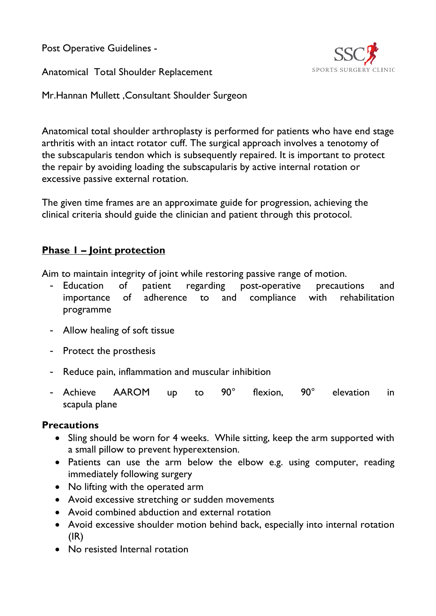Post Operative Guidelines -

Anatomical Total Shoulder Replacement



Mr.Hannan Mullett ,Consultant Shoulder Surgeon

Anatomical total shoulder arthroplasty is performed for patients who have end stage arthritis with an intact rotator cuff. The surgical approach involves a tenotomy of the subscapularis tendon which is subsequently repaired. It is important to protect the repair by avoiding loading the subscapularis by active internal rotation or excessive passive external rotation.

The given time frames are an approximate guide for progression, achieving the clinical criteria should guide the clinician and patient through this protocol.

# **Phase 1 – Joint protection**

Aim to maintain integrity of joint while restoring passive range of motion.

- Education of patient regarding post-operative precautions and importance of adherence to and compliance with rehabilitation programme
- Allow healing of soft tissue
- Protect the prosthesis
- Reduce pain, inflammation and muscular inhibition
- Achieve AAROM up to 90° flexion, 90° elevation in scapula plane

## **Precautions**

- Sling should be worn for 4 weeks. While sitting, keep the arm supported with a small pillow to prevent hyperextension.
- Patients can use the arm below the elbow e.g. using computer, reading immediately following surgery
- No lifting with the operated arm
- Avoid excessive stretching or sudden movements
- Avoid combined abduction and external rotation
- Avoid excessive shoulder motion behind back, especially into internal rotation  $(IR)$
- No resisted Internal rotation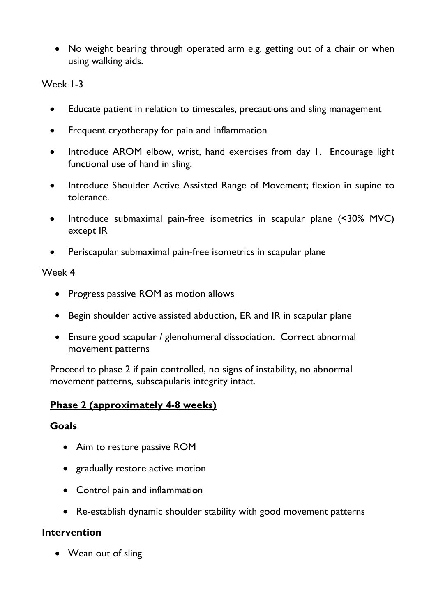• No weight bearing through operated arm e.g. getting out of a chair or when using walking aids.

#### Week 1-3

- Educate patient in relation to timescales, precautions and sling management
- Frequent cryotherapy for pain and inflammation
- Introduce AROM elbow, wrist, hand exercises from day 1. Encourage light functional use of hand in sling.
- Introduce Shoulder Active Assisted Range of Movement; flexion in supine to tolerance.
- Introduce submaximal pain-free isometrics in scapular plane (<30% MVC) except IR
- Periscapular submaximal pain-free isometrics in scapular plane

#### Week 4

- Progress passive ROM as motion allows
- Begin shoulder active assisted abduction, ER and IR in scapular plane
- Ensure good scapular / glenohumeral dissociation. Correct abnormal movement patterns

Proceed to phase 2 if pain controlled, no signs of instability, no abnormal movement patterns, subscapularis integrity intact.

### **Phase 2 (approximately 4-8 weeks)**

### **Goals**

- Aim to restore passive ROM
- gradually restore active motion
- Control pain and inflammation
- Re-establish dynamic shoulder stability with good movement patterns

### **Intervention**

• Wean out of sling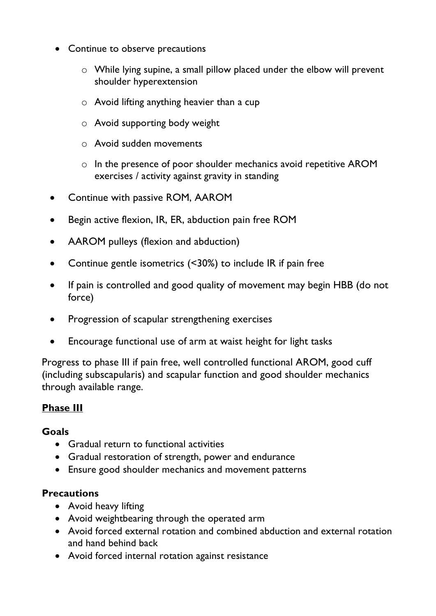- Continue to observe precautions
	- o While lying supine, a small pillow placed under the elbow will prevent shoulder hyperextension
	- $\circ$  Avoid lifting anything heavier than a cup
	- o Avoid supporting body weight
	- o Avoid sudden movements
	- o In the presence of poor shoulder mechanics avoid repetitive AROM exercises / activity against gravity in standing
- Continue with passive ROM, AAROM
- Begin active flexion, IR, ER, abduction pain free ROM
- AAROM pulleys (flexion and abduction)
- Continue gentle isometrics (<30%) to include IR if pain free
- If pain is controlled and good quality of movement may begin HBB (do not force)
- Progression of scapular strengthening exercises
- Encourage functional use of arm at waist height for light tasks

Progress to phase III if pain free, well controlled functional AROM, good cuff (including subscapularis) and scapular function and good shoulder mechanics through available range.

## **Phase III**

### **Goals**

- Gradual return to functional activities
- Gradual restoration of strength, power and endurance
- Ensure good shoulder mechanics and movement patterns

## **Precautions**

- Avoid heavy lifting
- Avoid weightbearing through the operated arm
- Avoid forced external rotation and combined abduction and external rotation and hand behind back
- Avoid forced internal rotation against resistance